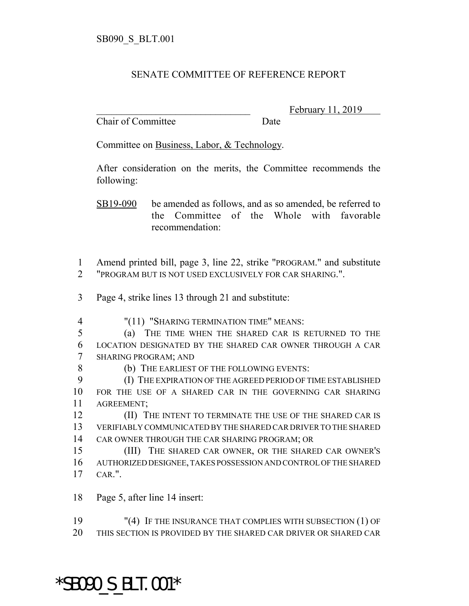## SENATE COMMITTEE OF REFERENCE REPORT

Chair of Committee Date

February 11, 2019

Committee on Business, Labor, & Technology.

After consideration on the merits, the Committee recommends the following:

SB19-090 be amended as follows, and as so amended, be referred to the Committee of the Whole with favorable recommendation:

 Amend printed bill, page 3, line 22, strike "PROGRAM." and substitute "PROGRAM BUT IS NOT USED EXCLUSIVELY FOR CAR SHARING.".

- Page 4, strike lines 13 through 21 and substitute:
- "(11) "SHARING TERMINATION TIME" MEANS:
- (a) THE TIME WHEN THE SHARED CAR IS RETURNED TO THE LOCATION DESIGNATED BY THE SHARED CAR OWNER THROUGH A CAR SHARING PROGRAM; AND
- 8 (b) THE EARLIEST OF THE FOLLOWING EVENTS:
- (I) THE EXPIRATION OF THE AGREED PERIOD OF TIME ESTABLISHED FOR THE USE OF A SHARED CAR IN THE GOVERNING CAR SHARING AGREEMENT;

**(II) THE INTENT TO TERMINATE THE USE OF THE SHARED CAR IS**  VERIFIABLY COMMUNICATED BY THE SHARED CAR DRIVER TO THE SHARED CAR OWNER THROUGH THE CAR SHARING PROGRAM; OR

 (III) THE SHARED CAR OWNER, OR THE SHARED CAR OWNER'S AUTHORIZED DESIGNEE, TAKES POSSESSION AND CONTROL OF THE SHARED CAR.".

Page 5, after line 14 insert:

 "(4) IF THE INSURANCE THAT COMPLIES WITH SUBSECTION (1) OF THIS SECTION IS PROVIDED BY THE SHARED CAR DRIVER OR SHARED CAR

## \*SB090\_S\_BLT.001\*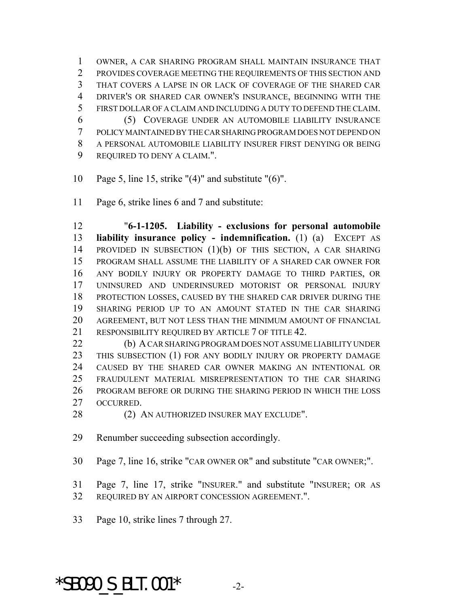OWNER, A CAR SHARING PROGRAM SHALL MAINTAIN INSURANCE THAT PROVIDES COVERAGE MEETING THE REQUIREMENTS OF THIS SECTION AND THAT COVERS A LAPSE IN OR LACK OF COVERAGE OF THE SHARED CAR DRIVER'S OR SHARED CAR OWNER'S INSURANCE, BEGINNING WITH THE FIRST DOLLAR OF A CLAIM AND INCLUDING A DUTY TO DEFEND THE CLAIM. (5) COVERAGE UNDER AN AUTOMOBILE LIABILITY INSURANCE POLICY MAINTAINED BY THE CAR SHARING PROGRAM DOES NOT DEPEND ON A PERSONAL AUTOMOBILE LIABILITY INSURER FIRST DENYING OR BEING REQUIRED TO DENY A CLAIM.".

- Page 5, line 15, strike "(4)" and substitute "(6)".
- Page 6, strike lines 6 and 7 and substitute:

 "**6-1-1205. Liability - exclusions for personal automobile liability insurance policy - indemnification.** (1) (a) EXCEPT AS PROVIDED IN SUBSECTION (1)(b) OF THIS SECTION, A CAR SHARING PROGRAM SHALL ASSUME THE LIABILITY OF A SHARED CAR OWNER FOR ANY BODILY INJURY OR PROPERTY DAMAGE TO THIRD PARTIES, OR UNINSURED AND UNDERINSURED MOTORIST OR PERSONAL INJURY PROTECTION LOSSES, CAUSED BY THE SHARED CAR DRIVER DURING THE SHARING PERIOD UP TO AN AMOUNT STATED IN THE CAR SHARING AGREEMENT, BUT NOT LESS THAN THE MINIMUM AMOUNT OF FINANCIAL 21 RESPONSIBILITY REQUIRED BY ARTICLE 7 OF TITLE 42.

 (b) A CAR SHARING PROGRAM DOES NOT ASSUME LIABILITY UNDER THIS SUBSECTION (1) FOR ANY BODILY INJURY OR PROPERTY DAMAGE CAUSED BY THE SHARED CAR OWNER MAKING AN INTENTIONAL OR FRAUDULENT MATERIAL MISREPRESENTATION TO THE CAR SHARING PROGRAM BEFORE OR DURING THE SHARING PERIOD IN WHICH THE LOSS OCCURRED.

28 (2) AN AUTHORIZED INSURER MAY EXCLUDE".

Renumber succeeding subsection accordingly.

Page 7, line 16, strike "CAR OWNER OR" and substitute "CAR OWNER;".

 Page 7, line 17, strike "INSURER." and substitute "INSURER; OR AS REQUIRED BY AN AIRPORT CONCESSION AGREEMENT.".

Page 10, strike lines 7 through 27.

\*SB090 S BLT.001\*  $-2$ -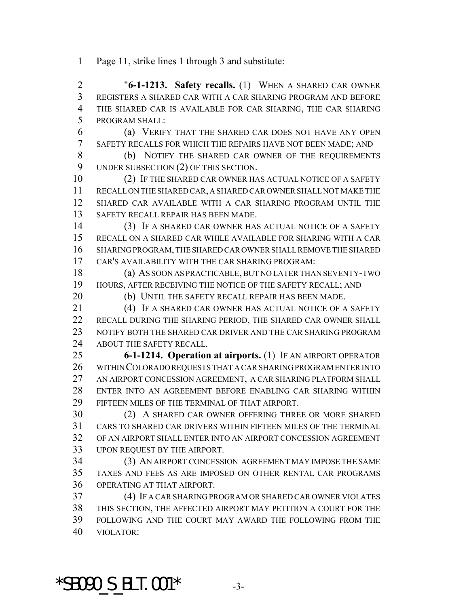- Page 11, strike lines 1 through 3 and substitute:
- "**6-1-1213. Safety recalls.** (1) WHEN A SHARED CAR OWNER REGISTERS A SHARED CAR WITH A CAR SHARING PROGRAM AND BEFORE THE SHARED CAR IS AVAILABLE FOR CAR SHARING, THE CAR SHARING PROGRAM SHALL:
- (a) VERIFY THAT THE SHARED CAR DOES NOT HAVE ANY OPEN SAFETY RECALLS FOR WHICH THE REPAIRS HAVE NOT BEEN MADE; AND
- (b) NOTIFY THE SHARED CAR OWNER OF THE REQUIREMENTS UNDER SUBSECTION (2) OF THIS SECTION.
- (2) IF THE SHARED CAR OWNER HAS ACTUAL NOTICE OF A SAFETY RECALL ON THE SHARED CAR, A SHARED CAR OWNER SHALL NOT MAKE THE SHARED CAR AVAILABLE WITH A CAR SHARING PROGRAM UNTIL THE SAFETY RECALL REPAIR HAS BEEN MADE.
- (3) IF A SHARED CAR OWNER HAS ACTUAL NOTICE OF A SAFETY RECALL ON A SHARED CAR WHILE AVAILABLE FOR SHARING WITH A CAR SHARING PROGRAM, THE SHARED CAR OWNER SHALL REMOVE THE SHARED CAR'S AVAILABILITY WITH THE CAR SHARING PROGRAM:
- (a) AS SOON AS PRACTICABLE, BUT NO LATER THAN SEVENTY-TWO HOURS, AFTER RECEIVING THE NOTICE OF THE SAFETY RECALL; AND
- (b) UNTIL THE SAFETY RECALL REPAIR HAS BEEN MADE.
- (4) IF A SHARED CAR OWNER HAS ACTUAL NOTICE OF A SAFETY RECALL DURING THE SHARING PERIOD, THE SHARED CAR OWNER SHALL NOTIFY BOTH THE SHARED CAR DRIVER AND THE CAR SHARING PROGRAM ABOUT THE SAFETY RECALL.
- **6-1-1214. Operation at airports.** (1) IF AN AIRPORT OPERATOR WITHIN COLORADO REQUESTS THAT A CAR SHARING PROGRAM ENTER INTO AN AIRPORT CONCESSION AGREEMENT, A CAR SHARING PLATFORM SHALL ENTER INTO AN AGREEMENT BEFORE ENABLING CAR SHARING WITHIN FIFTEEN MILES OF THE TERMINAL OF THAT AIRPORT.
- (2) A SHARED CAR OWNER OFFERING THREE OR MORE SHARED CARS TO SHARED CAR DRIVERS WITHIN FIFTEEN MILES OF THE TERMINAL OF AN AIRPORT SHALL ENTER INTO AN AIRPORT CONCESSION AGREEMENT UPON REQUEST BY THE AIRPORT.
- (3) AN AIRPORT CONCESSION AGREEMENT MAY IMPOSE THE SAME TAXES AND FEES AS ARE IMPOSED ON OTHER RENTAL CAR PROGRAMS OPERATING AT THAT AIRPORT.
- (4) IF A CAR SHARING PROGRAM OR SHARED CAR OWNER VIOLATES THIS SECTION, THE AFFECTED AIRPORT MAY PETITION A COURT FOR THE FOLLOWING AND THE COURT MAY AWARD THE FOLLOWING FROM THE VIOLATOR:

 $*$ SB090 S BLT.001 $*$  -3-